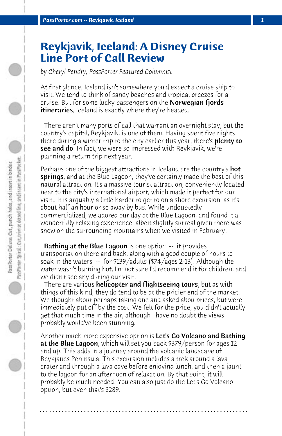## **Reykjavik, Iceland: A Disney Cruise Line Port of Call Review**

*by Cheryl Pendry, PassPorter Featured Columnist*

At first glance, Iceland isn't somewhere you'd expect a cruise ship to visit. We tend to think of sandy beaches and tropical breezes for a cruise. But for some lucky passengers on the Norwegian fjords itineraries, Iceland is exactly where they're headed.

 There aren't many ports of call that warrant an overnight stay, but the country's capital, Reykjavik, is one of them. Having spent five nights there during a winter trip to the city earlier this year, there's **plenty to see and do**. In fact, we were so impressed with Reykjavik, we're planning a return trip next year.

Perhaps one of the biggest attractions in Iceland are the country's **hot** springs, and at the Blue Lagoon, they've certainly made the best of this natural attraction. It's a massive tourist attraction, conveniently located near to the city's international airport, which made it perfect for our visit,. It is arguably a little harder to get to on a shore excursion, as it's about half an hour or so away by bus. While undoubtedly commercialized, we adored our day at the Blue Lagoon, and found it a wonderfully relaxing experience, albeit slightly surreal given there was snow on the surrounding mountains when we visited in February!

**Bathing at the Blue Lagoon** is one option -- it provides transportation there and back, along with a good couple of hours to soak in the waters -- for \$139/adults (\$74/ages 2-13). Although the water wasn't burning hot, I'm not sure I'd recommend it for children, and we didn't see any during our visit.

There are various helicopter and flightseeing tours, but as with things of this kind, they do tend to be at the pricier end of the market. We thought about perhaps taking one and asked abou prices, but were immediately put off by the cost. We felt for the price, you didn't actually get that much time in the air, although I have no doubt the views probably would've been stunning.

Another much more expensive option is **Let's Go Volcano and Bathing** at the Blue Lagoon, which will set you back \$379/person for ages 12 and up. This adds in a journey around the volcanic landscape of Reykjanes Peninsula. This excursion includes a trek around a lava crater and through a lava cave before enjoying lunch, and then a jaunt to the lagoon for an afternoon of relaxation. By that point, it will probably be much needed! You can also just do the Let's Go Volcano option, but even that's \$289.

**. . . . . . . . . . . . . . . . . . . . . . . . . . . . . . . . . . . . . . . . . . . . . . . . . . . . . . . . . . . . . . . . . .**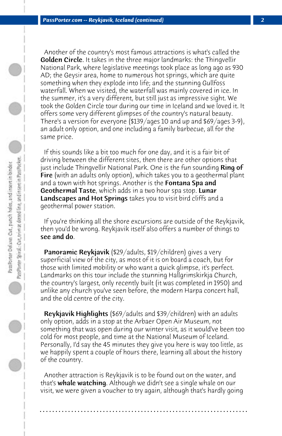Another of the country's most famous attractions is what's called the Golden Circle. It takes in the three major landmarks: the Thingvellir National Park, where legislative meetings took place as long ago as 930 AD; the Geysir area, home to numerous hot springs, which are quite something when they explode into life; and the stunning Gullfoss waterfall. When we visited, the waterfall was mainly covered in ice. In the summer, it's a very different, but still just as impressive sight. We took the Golden Circle tour during our time in Iceland and we loved it. It offers some very different glimpses of the country's natural beauty. There's a version for everyone (\$139/ages 10 and up and \$69/ages 3-9), an adult only option, and one including a family barbecue, all for the same price.

 If this sounds like a bit too much for one day, and it is a fair bit of driving between the different sites, then there are other options that just include Thingvellir National Park. One is the fun sounding **Ring of** Fire (with an adults only option), which takes you to a geothermal plant and a town with hot springs. Another is the **Fontana Spa and** Geothermal Taste, which adds in a two hour spa stop. Lunar Landscapes and Hot Springs takes you to visit bird cliffs and a geothermal power station.

 If you're thinking all the shore excursions are outside of the Reykjavik, then you'd be wrong. Reykjavik itself also offers a number of things to see and do.

 Panoramic Reykjavik (\$29/adults, \$19/children) gives a very superficial view of the city, as most of it is on board a coach, but for those with limited mobility or who want a quick glimpse, it's perfect. Landmarks on this tour include the stunning Hallgrimskirkja Church, the country's largest, only recently built (it was completed in 1950) and unlike any church you've seen before, the modern Harpa concert hall, and the old centre of the city.

 Reykjavik Highlights (\$69/adults and \$39/children) with an adults only option, adds in a stop at the Arbaer Open Air Museum, not something that was open during our winter visit, as it would've been too cold for most people, and time at the National Museum of Iceland. Personally, I'd say the 45 minutes they give you here is way too little, as we happily spent a couple of hours there, learning all about the history of the country.

 Another attraction is Reykjavik is to be found out on the water, and that's whale watching. Although we didn't see a single whale on our visit, we were given a voucher to try again, although that's hardly going

**. . . . . . . . . . . . . . . . . . . . . . . . . . . . . . . . . . . . . . . . . . . . . . . . . . . . . . . . . . . . . . . . . .**